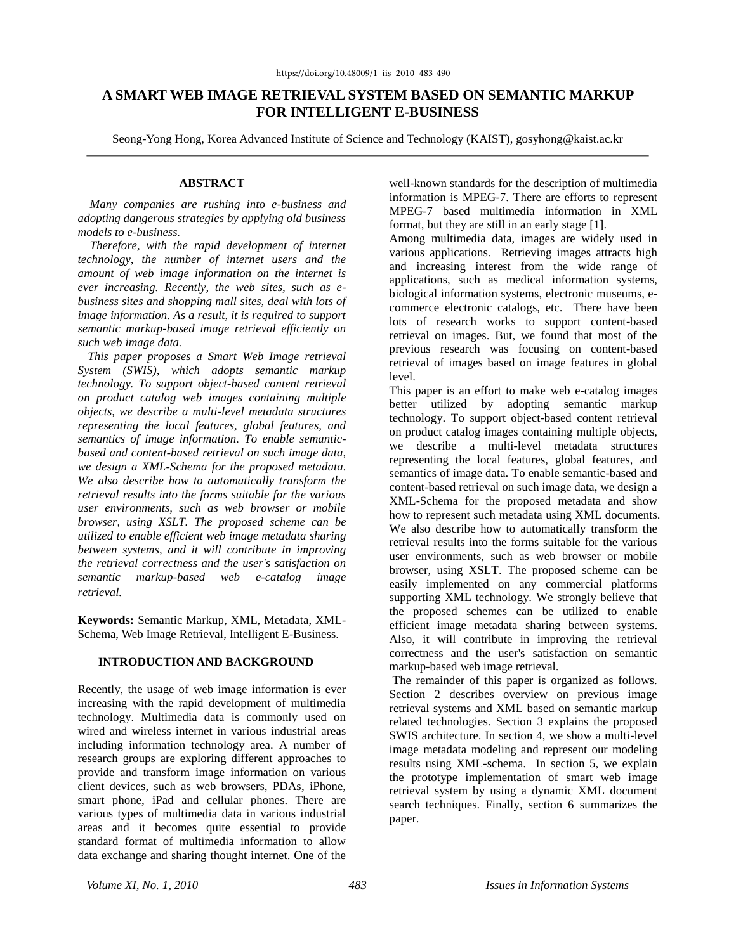# **A SMART WEB IMAGE RETRIEVAL SYSTEM BASED ON SEMANTIC MARKUP FOR INTELLIGENT E-BUSINESS**

Seong-Yong Hong, Korea Advanced Institute of Science and Technology (KAIST), gosyhong@kaist.ac.kr

#### **ABSTRACT**

*Many companies are rushing into e-business and adopting dangerous strategies by applying old business models to e-business.* 

*Therefore, with the rapid development of internet technology, the number of internet users and the amount of web image information on the internet is ever increasing. Recently, the web sites, such as ebusiness sites and shopping mall sites, deal with lots of image information. As a result, it is required to support semantic markup-based image retrieval efficiently on such web image data.* 

*This paper proposes a Smart Web Image retrieval System (SWIS), which adopts semantic markup technology. To support object-based content retrieval on product catalog web images containing multiple objects, we describe a multi-level metadata structures representing the local features, global features, and semantics of image information. To enable semanticbased and content-based retrieval on such image data, we design a XML-Schema for the proposed metadata. We also describe how to automatically transform the retrieval results into the forms suitable for the various user environments, such as web browser or mobile browser, using XSLT. The proposed scheme can be utilized to enable efficient web image metadata sharing between systems, and it will contribute in improving the retrieval correctness and the user's satisfaction on semantic markup-based web e-catalog image retrieval.*

**Keywords:** Semantic Markup, XML, Metadata, XML-Schema, Web Image Retrieval, Intelligent E-Business.

## **INTRODUCTION AND BACKGROUND**

Recently, the usage of web image information is ever increasing with the rapid development of multimedia technology. Multimedia data is commonly used on wired and wireless internet in various industrial areas including information technology area. A number of research groups are exploring different approaches to provide and transform image information on various client devices, such as web browsers, PDAs, iPhone, smart phone, iPad and cellular phones. There are various types of multimedia data in various industrial areas and it becomes quite essential to provide standard format of multimedia information to allow data exchange and sharing thought internet. One of the

well-known standards for the description of multimedia information is MPEG-7. There are efforts to represent MPEG-7 based multimedia information in XML format, but they are still in an early stage [1].

Among multimedia data, images are widely used in various applications. Retrieving images attracts high and increasing interest from the wide range of applications, such as medical information systems, biological information systems, electronic museums, ecommerce electronic catalogs, etc. There have been lots of research works to support content-based retrieval on images. But, we found that most of the previous research was focusing on content-based retrieval of images based on image features in global level.

This paper is an effort to make web e-catalog images better utilized by adopting semantic markup technology. To support object-based content retrieval on product catalog images containing multiple objects, we describe a multi-level metadata structures representing the local features, global features, and semantics of image data. To enable semantic-based and content-based retrieval on such image data, we design a XML-Schema for the proposed metadata and show how to represent such metadata using XML documents. We also describe how to automatically transform the retrieval results into the forms suitable for the various user environments, such as web browser or mobile browser, using XSLT. The proposed scheme can be easily implemented on any commercial platforms supporting XML technology. We strongly believe that the proposed schemes can be utilized to enable efficient image metadata sharing between systems. Also, it will contribute in improving the retrieval correctness and the user's satisfaction on semantic markup-based web image retrieval.

 The remainder of this paper is organized as follows. Section 2 describes overview on previous image retrieval systems and XML based on semantic markup related technologies. Section 3 explains the proposed SWIS architecture. In section 4, we show a multi-level image metadata modeling and represent our modeling results using XML-schema. In section 5, we explain the prototype implementation of smart web image retrieval system by using a dynamic XML document search techniques. Finally, section 6 summarizes the paper.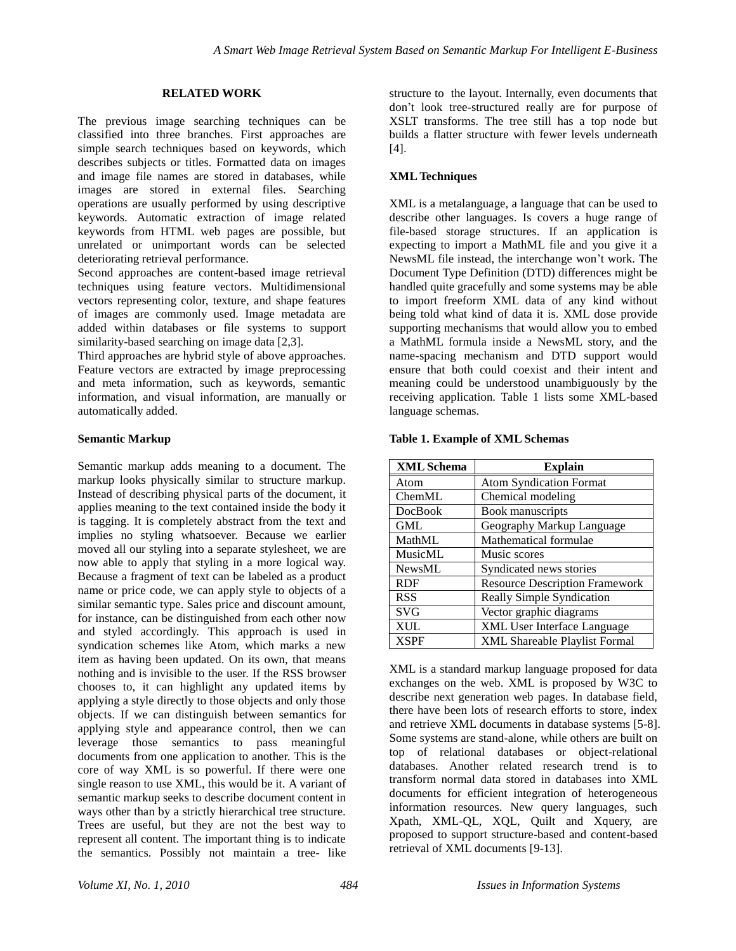# **RELATED WORK**

The previous image searching techniques can be classified into three branches. First approaches are simple search techniques based on keywords, which describes subjects or titles. Formatted data on images and image file names are stored in databases, while images are stored in external files. Searching operations are usually performed by using descriptive keywords. Automatic extraction of image related keywords from HTML web pages are possible, but unrelated or unimportant words can be selected deteriorating retrieval performance.

Second approaches are content-based image retrieval techniques using feature vectors. Multidimensional vectors representing color, texture, and shape features of images are commonly used. Image metadata are added within databases or file systems to support similarity-based searching on image data [2,3].

Third approaches are hybrid style of above approaches. Feature vectors are extracted by image preprocessing and meta information, such as keywords, semantic information, and visual information, are manually or automatically added.

## **Semantic Markup**

Semantic markup adds meaning to a document. The markup looks physically similar to structure markup. Instead of describing physical parts of the document, it applies meaning to the text contained inside the body it is tagging. It is completely abstract from the text and implies no styling whatsoever. Because we earlier moved all our styling into a separate stylesheet, we are now able to apply that styling in a more logical way. Because a fragment of text can be labeled as a product name or price code, we can apply style to objects of a similar semantic type. Sales price and discount amount, for instance, can be distinguished from each other now and styled accordingly. This approach is used in syndication schemes like Atom, which marks a new item as having been updated. On its own, that means nothing and is invisible to the user. If the RSS browser chooses to, it can highlight any updated items by applying a style directly to those objects and only those objects. If we can distinguish between semantics for applying style and appearance control, then we can leverage those semantics to pass meaningful documents from one application to another. This is the core of way XML is so powerful. If there were one single reason to use XML, this would be it. A variant of semantic markup seeks to describe document content in ways other than by a strictly hierarchical tree structure. Trees are useful, but they are not the best way to represent all content. The important thing is to indicate the semantics. Possibly not maintain a tree- like

structure to the layout. Internally, even documents that don"t look tree-structured really are for purpose of XSLT transforms. The tree still has a top node but builds a flatter structure with fewer levels underneath  $[4]$ .

# **XML Techniques**

XML is a metalanguage, a language that can be used to describe other languages. Is covers a huge range of file-based storage structures. If an application is expecting to import a MathML file and you give it a NewsML file instead, the interchange won"t work. The Document Type Definition (DTD) differences might be handled quite gracefully and some systems may be able to import freeform XML data of any kind without being told what kind of data it is. XML dose provide supporting mechanisms that would allow you to embed a MathML formula inside a NewsML story, and the name-spacing mechanism and DTD support would ensure that both could coexist and their intent and meaning could be understood unambiguously by the receiving application. Table 1 lists some XML-based language schemas.

## **Table 1. Example of XML Schemas**

| <b>XML Schema</b> | <b>Explain</b>                        |
|-------------------|---------------------------------------|
| Atom              | <b>Atom Syndication Format</b>        |
| ChemML            | Chemical modeling                     |
| <b>DocBook</b>    | Book manuscripts                      |
| <b>GML</b>        | Geography Markup Language             |
| MathML            | Mathematical formulae                 |
| <b>MusicML</b>    | Music scores                          |
| NewsML            | Syndicated news stories               |
| <b>RDF</b>        | <b>Resource Description Framework</b> |
| <b>RSS</b>        | <b>Really Simple Syndication</b>      |
| <b>SVG</b>        | Vector graphic diagrams               |
| <b>XUL</b>        | <b>XML User Interface Language</b>    |
| <b>XSPF</b>       | XML Shareable Playlist Formal         |

XML is a standard markup language proposed for data exchanges on the web. XML is proposed by W3C to describe next generation web pages. In database field, there have been lots of research efforts to store, index and retrieve XML documents in database systems [5-8]. Some systems are stand-alone, while others are built on top of relational databases or object-relational databases. Another related research trend is to transform normal data stored in databases into XML documents for efficient integration of heterogeneous information resources. New query languages, such Xpath, XML-QL, XQL, Quilt and Xquery, are proposed to support structure-based and content-based retrieval of XML documents [9-13].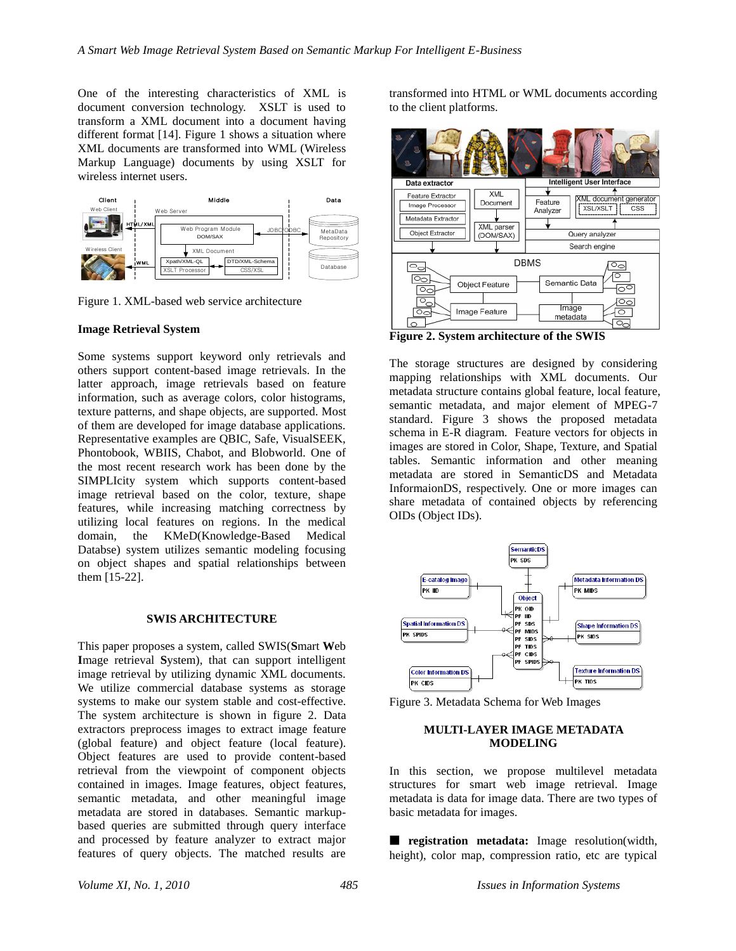One of the interesting characteristics of XML is document conversion technology. XSLT is used to transform a XML document into a document having different format [14]. Figure 1 shows a situation where XML documents are transformed into WML (Wireless Markup Language) documents by using XSLT for wireless internet users.



Figure 1. XML-based web service architecture

#### **Image Retrieval System**

Some systems support keyword only retrievals and others support content-based image retrievals. In the latter approach, image retrievals based on feature information, such as average colors, color histograms, texture patterns, and shape objects, are supported. Most of them are developed for image database applications. Representative examples are QBIC, Safe, VisualSEEK, Phontobook, WBIIS, Chabot, and Blobworld. One of the most recent research work has been done by the SIMPLIcity system which supports content-based image retrieval based on the color, texture, shape features, while increasing matching correctness by utilizing local features on regions. In the medical domain, the KMeD(Knowledge-Based Medical Databse) system utilizes semantic modeling focusing on object shapes and spatial relationships between them [15-22].

#### **SWIS ARCHITECTURE**

This paper proposes a system, called SWIS(**S**mart **W**eb **I**mage retrieval **S**ystem), that can support intelligent image retrieval by utilizing dynamic XML documents. We utilize commercial database systems as storage systems to make our system stable and cost-effective. The system architecture is shown in figure 2. Data extractors preprocess images to extract image feature (global feature) and object feature (local feature). Object features are used to provide content-based retrieval from the viewpoint of component objects contained in images. Image features, object features, semantic metadata, and other meaningful image metadata are stored in databases. Semantic markupbased queries are submitted through query interface and processed by feature analyzer to extract major features of query objects. The matched results are

transformed into HTML or WML documents according to the client platforms.



**Figure 2. System architecture of the SWIS**

The storage structures are designed by considering mapping relationships with XML documents. Our metadata structure contains global feature, local feature, semantic metadata, and major element of MPEG-7 standard. Figure 3 shows the proposed metadata schema in E-R diagram. Feature vectors for objects in images are stored in Color, Shape, Texture, and Spatial tables. Semantic information and other meaning metadata are stored in SemanticDS and Metadata InformaionDS, respectively. One or more images can share metadata of contained objects by referencing OIDs (Object IDs).



Figure 3. Metadata Schema for Web Images

## **MULTI-LAYER IMAGE METADATA MODELING**

In this section, we propose multilevel metadata structures for smart web image retrieval. Image metadata is data for image data. There are two types of basic metadata for images.

■ **registration metadata:** Image resolution(width, height), color map, compression ratio, etc are typical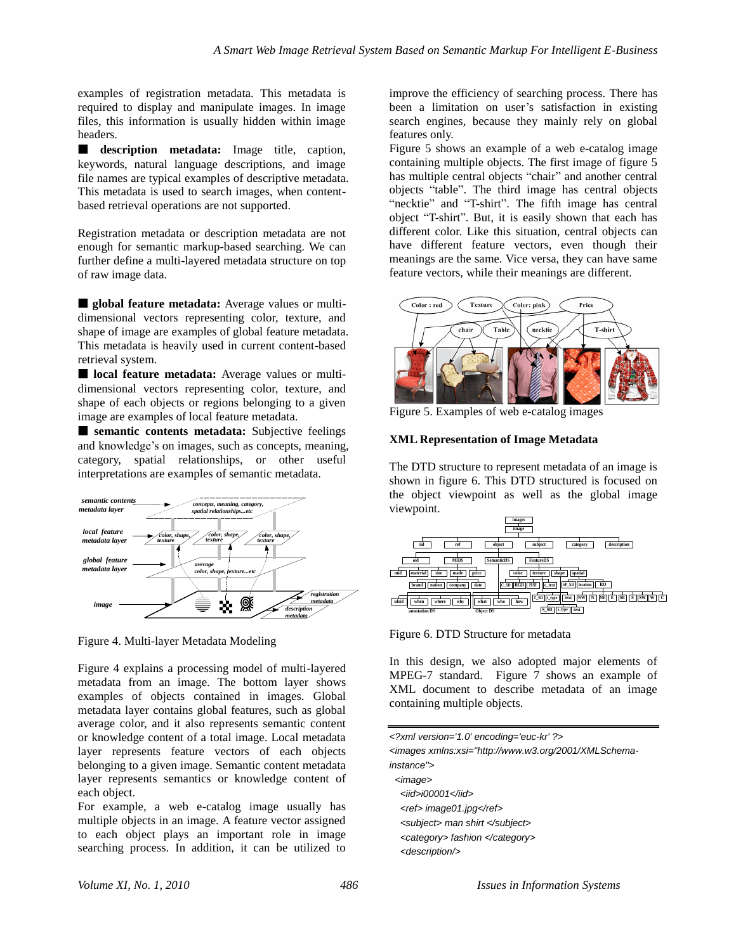examples of registration metadata. This metadata is required to display and manipulate images. In image files, this information is usually hidden within image headers.

■ **description** metadata: Image title, caption, keywords, natural language descriptions, and image file names are typical examples of descriptive metadata. This metadata is used to search images, when contentbased retrieval operations are not supported.

Registration metadata or description metadata are not enough for semantic markup-based searching. We can further define a multi-layered metadata structure on top of raw image data.

■ **global feature metadata:** Average values or multidimensional vectors representing color, texture, and shape of image are examples of global feature metadata. This metadata is heavily used in current content-based retrieval system.

■ **local feature metadata:** Average values or multidimensional vectors representing color, texture, and shape of each objects or regions belonging to a given image are examples of local feature metadata.

■ **semantic contents metadata:** Subjective feelings and knowledge"s on images, such as concepts, meaning, category, spatial relationships, or other useful interpretations are examples of semantic metadata.



Figure 4. Multi-layer Metadata Modeling

Figure 4 explains a processing model of multi-layered metadata from an image. The bottom layer shows examples of objects contained in images. Global metadata layer contains global features, such as global average color, and it also represents semantic content or knowledge content of a total image. Local metadata layer represents feature vectors of each objects belonging to a given image. Semantic content metadata layer represents semantics or knowledge content of each object.

For example, a web e-catalog image usually has multiple objects in an image. A feature vector assigned to each object plays an important role in image searching process. In addition, it can be utilized to improve the efficiency of searching process. There has been a limitation on user's satisfaction in existing search engines, because they mainly rely on global features only.

Figure 5 shows an example of a web e-catalog image containing multiple objects. The first image of figure 5 has multiple central objects "chair" and another central objects "table". The third image has central objects "necktie" and "T-shirt". The fifth image has central object "T-shirt". But, it is easily shown that each has different color. Like this situation, central objects can have different feature vectors, even though their meanings are the same. Vice versa, they can have same feature vectors, while their meanings are different.



Figure 5. Examples of web e-catalog images

# **XML Representation of Image Metadata**

The DTD structure to represent metadata of an image is shown in figure 6. This DTD structured is focused on the object viewpoint as well as the global image viewpoint.



Figure 6. DTD Structure for metadata

In this design, we also adopted major elements of MPEG-7 standard. Figure 7 shows an example of XML document to describe metadata of an image containing multiple objects.

| xml version='1.0' encoding='euc-kr' ?                                                                                                  |  |
|----------------------------------------------------------------------------------------------------------------------------------------|--|
| <images xmlns:xsi="http://www.w3.org/2001/XMLSchema-&lt;/th&gt;&lt;td&gt;&lt;/td&gt;&lt;/tr&gt;&lt;tr&gt;&lt;th&gt;instance"></images> |  |
| $\leq$ <i>mage</i> $>$                                                                                                                 |  |
| $\langle iid \rangle = i00001 \langle iid \rangle$                                                                                     |  |
| <ref> image01.jpg</ref>                                                                                                                |  |
| <subject> man shirt </subject>                                                                                                         |  |
| <category> fashion </category>                                                                                                         |  |
| <description></description>                                                                                                            |  |
|                                                                                                                                        |  |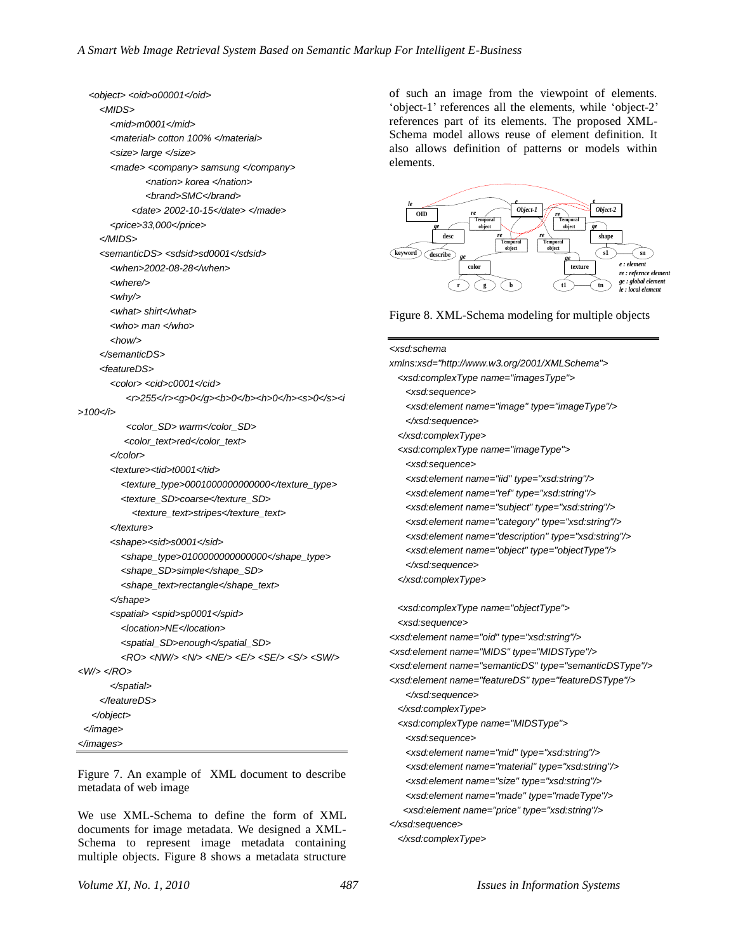```
 <object> <oid>o00001</oid>
     <MIDS>
        <mid>m0001</mid>
        <material> cotton 100% </material>
        <size> large </size>
        <made> <company> samsung </company>
                <nation> korea </nation>
                <brand>SMC</brand>
             <date> 2002-10-15</date> </made>
        <price>33,000</price>
      </MIDS>
      <semanticDS> <sdsid>sd0001</sdsid>
        <when>2002-08-28</when>
        <where/>
        <why/>
        <what> shirt</what>
        <who> man </who>
        <how/>
      </semanticDS>
      <featureDS>
        <color> <cid>c0001</cid>
          <r>255</r><g>0</g><b>0</b><h>0</h><s>0</s><i
>100</i>
           <color_SD> warm</color_SD>
          <color_text>red</color_text>
        </color>
        <texture><tid>t0001</tid>
          <texture_type>0001000000000000</texture_type>
          <texture_SD>coarse</texture_SD>
             <texture_text>stripes</texture_text>
        </texture>
        <shape><sid>s0001</sid>
          <shape_type>0100000000000000</shape_type>
          <shape_SD>simple</shape_SD>
          <shape_text>rectangle</shape_text>
        </shape>
        <spatial> <spid>sp0001</spid>
          <location>NE</location>
          <spatial_SD>enough</spatial_SD> 
          <RO> <NW/> <N/> <NE/> <E/> <SE/> <S/> <SW/> 
<W/> </RO>
        </spatial>
     </featureDS>
    </object>
  </image>
</images>
```
Figure 7. An example of XML document to describe metadata of web image

We use XML-Schema to define the form of XML documents for image metadata. We designed a XML-Schema to represent image metadata containing multiple objects. Figure 8 shows a metadata structure

of such an image from the viewpoint of elements. 'object-1' references all the elements, while 'object-2' references part of its elements. The proposed XML-Schema model allows reuse of element definition. It also allows definition of patterns or models within elements.



Figure 8. XML-Schema modeling for multiple objects

| xmlns:xsd="http://www.w3.org/2001/XMLSchema">                       |
|---------------------------------------------------------------------|
| <xsd:complextype name="imagesType"></xsd:complextype>               |
| <xsd:sequence></xsd:sequence>                                       |
| <xsd:element name="image" type="imageType"></xsd:element>           |
|                                                                     |
|                                                                     |
| <xsd:complextype name="imageType"></xsd:complextype>                |
| <xsd:sequence></xsd:sequence>                                       |
| <xsd:element name="iid" type="xsd:string"></xsd:element>            |
| <xsd:element name="ref" type="xsd:string"></xsd:element>            |
| <xsd:element name="subject" type="xsd:string"></xsd:element>        |
| <xsd:element name="category" type="xsd:string"></xsd:element>       |
| <xsd:element name="description" type="xsd:string"></xsd:element>    |
| <xsd:element name="object" type="objectType"></xsd:element>         |
|                                                                     |
|                                                                     |
| <xsd:complextype name="objectType"></xsd:complextype>               |
| <xsd:sequence></xsd:sequence>                                       |
|                                                                     |
| <xsd:element name="oid" type="xsd:string"></xsd:element>            |
| <xsd:element name="MIDS" type="MIDSType"></xsd:element>             |
| <xsd:element name="semanticDS" type="semanticDSType"></xsd:element> |
| <xsd:element name="featureDS" type="featureDSType"></xsd:element>   |
|                                                                     |
|                                                                     |
| <xsd:complextype name="MIDSType"></xsd:complextype>                 |
| <xsd:sequence></xsd:sequence>                                       |
| <xsd:element name="mid" type="xsd:string"></xsd:element>            |
| <xsd:element name="material" type="xsd:string"></xsd:element>       |
| <xsd:element name="size" type="xsd:string"></xsd:element>           |
| <xsd:element name="made" type="madeType"></xsd:element>             |
| <xsd:element name="price" type="xsd:string"></xsd:element>          |
|                                                                     |
|                                                                     |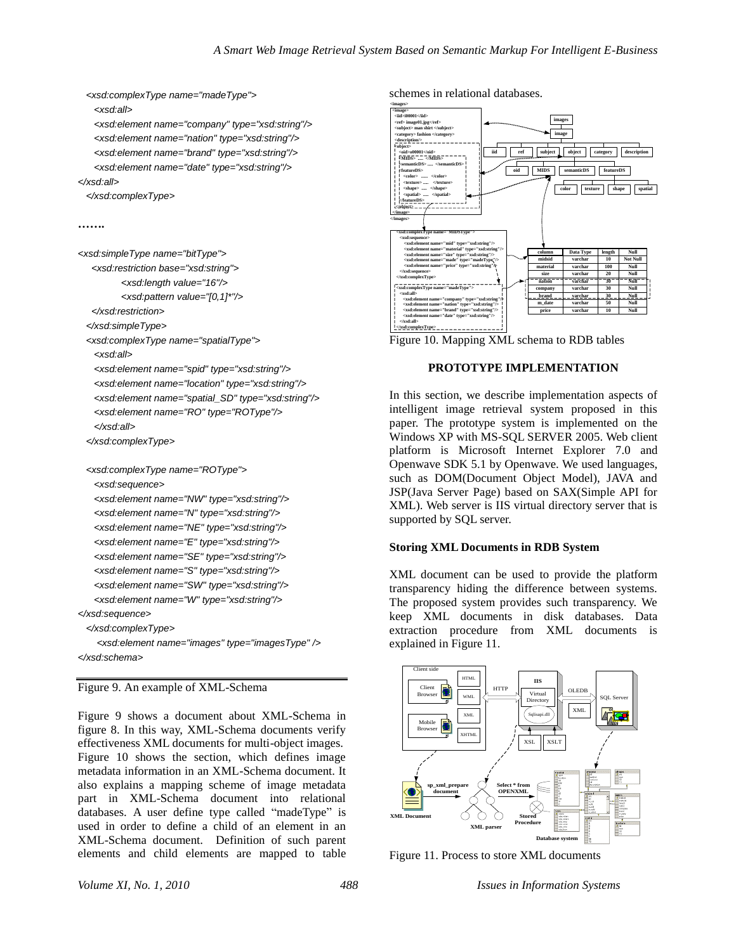```
 <xsd:complexType name="madeType"> 
    <xsd:all>
    <xsd:element name="company" type="xsd:string"/>
    <xsd:element name="nation" type="xsd:string"/>
    <xsd:element name="brand" type="xsd:string"/>
    <xsd:element name="date" type="xsd:string"/> 
</xsd:all>
  </xsd:complexType> 
…….
<xsd:simpleType name="bitType">
   <xsd:restriction base="xsd:string">
```
*<xsd:length value="16"/> <xsd:pattern value="[0,1]\*"/> </xsd:restriction> </xsd:simpleType> <xsd:complexType name="spatialType"> <xsd:all> <xsd:element name="spid" type="xsd:string"/> <xsd:element name="location" type="xsd:string"/> <xsd:element name="spatial\_SD" type="xsd:string"/> <xsd:element name="RO" type="ROType"/> </xsd:all> </xsd:complexType> <xsd:complexType name="ROType"> <xsd:sequence> <xsd:element name="NW" type="xsd:string"/> <xsd:element name="N" type="xsd:string"/> <xsd:element name="NE" type="xsd:string"/> <xsd:element name="E" type="xsd:string"/> <xsd:element name="SE" type="xsd:string"/> <xsd:element name="S" type="xsd:string"/> <xsd:element name="SW" type="xsd:string"/> <xsd:element name="W" type="xsd:string"/> </xsd:sequence>*

# *</xsd:complexType>*

 *<xsd:element name="images" type="imagesType" /> </xsd:schema>*

Figure 9. An example of XML-Schema

Figure 9 shows a document about XML-Schema in figure 8. In this way, XML-Schema documents verify effectiveness XML documents for multi-object images. Figure 10 shows the section, which defines image metadata information in an XML-Schema document. It also explains a mapping scheme of image metadata part in XML-Schema document into relational databases. A user define type called "madeType" is used in order to define a child of an element in an XML-Schema document. Definition of such parent elements and child elements are mapped to table

## schemes in relational databases.



Figure 10. Mapping XML schema to RDB tables

#### **PROTOTYPE IMPLEMENTATION**

In this section, we describe implementation aspects of intelligent image retrieval system proposed in this paper. The prototype system is implemented on the Windows XP with MS-SQL SERVER 2005. Web client platform is Microsoft Internet Explorer 7.0 and Openwave SDK 5.1 by Openwave. We used languages, such as DOM(Document Object Model), JAVA and JSP(Java Server Page) based on SAX(Simple API for XML). Web server is IIS virtual directory server that is supported by SQL server.

#### **Storing XML Documents in RDB System**

XML document can be used to provide the platform transparency hiding the difference between systems. The proposed system provides such transparency. We keep XML documents in disk databases. Data extraction procedure from XML documents is explained in Figure 11.



Figure 11. Process to store XML documents

*Volume XI, No. 1, 2010 488 Issues in Information Systems*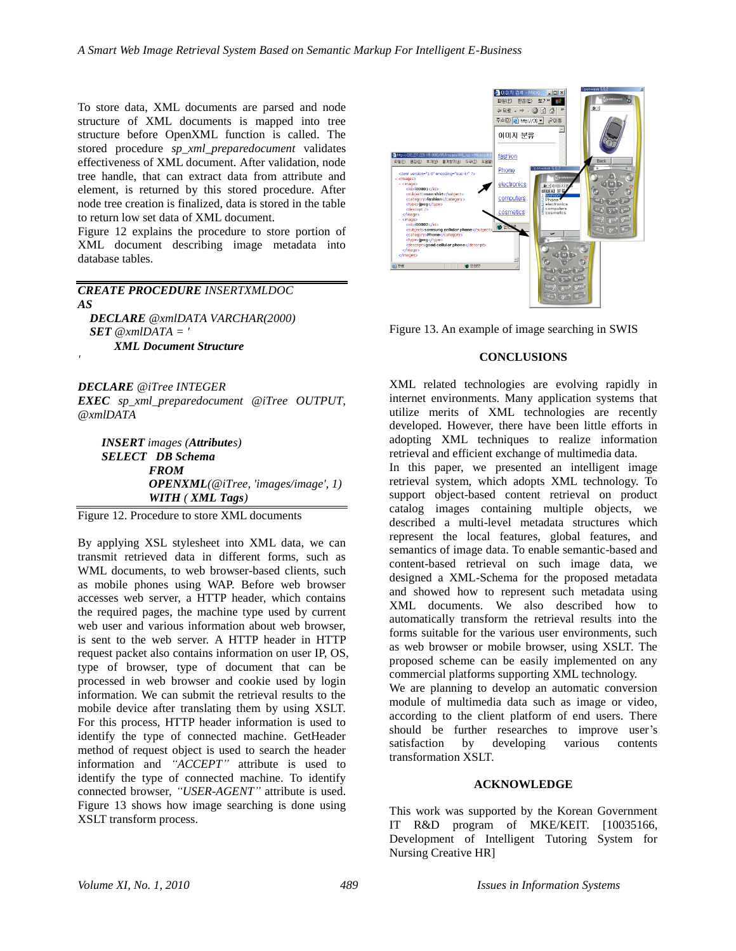To store data, XML documents are parsed and node structure of XML documents is mapped into tree structure before OpenXML function is called. The stored procedure *sp\_xml\_preparedocument* validates effectiveness of XML document. After validation, node tree handle, that can extract data from attribute and element, is returned by this stored procedure. After node tree creation is finalized, data is stored in the table to return low set data of XML document.

Figure 12 explains the procedure to store portion of XML document describing image metadata into database tables.

*CREATE PROCEDURE INSERTXMLDOC AS DECLARE @xmlDATA VARCHAR(2000)* 

*SET @xmlDATA = ' XML Document Structure*

*DECLARE @iTree INTEGER* 

*'* 

*EXEC sp\_xml\_preparedocument @iTree OUTPUT, @xmlDATA* 

*INSERT images (Attributes) SELECT DB Schema FROM OPENXML(@iTree, 'images/image', 1) WITH ( XML Tags)*

Figure 12. Procedure to store XML documents

By applying XSL stylesheet into XML data, we can transmit retrieved data in different forms, such as WML documents, to web browser-based clients, such as mobile phones using WAP. Before web browser accesses web server, a HTTP header, which contains the required pages, the machine type used by current web user and various information about web browser, is sent to the web server. A HTTP header in HTTP request packet also contains information on user IP, OS, type of browser, type of document that can be processed in web browser and cookie used by login information. We can submit the retrieval results to the mobile device after translating them by using XSLT. For this process, HTTP header information is used to identify the type of connected machine. GetHeader method of request object is used to search the header information and *"ACCEPT"* attribute is used to identify the type of connected machine. To identify connected browser, *"USER-AGENT"* attribute is used. Figure 13 shows how image searching is done using XSLT transform process.



Figure 13. An example of image searching in SWIS

## **CONCLUSIONS**

XML related technologies are evolving rapidly in internet environments. Many application systems that utilize merits of XML technologies are recently developed. However, there have been little efforts in adopting XML techniques to realize information retrieval and efficient exchange of multimedia data.

In this paper, we presented an intelligent image retrieval system, which adopts XML technology. To support object-based content retrieval on product catalog images containing multiple objects, we described a multi-level metadata structures which represent the local features, global features, and semantics of image data. To enable semantic-based and content-based retrieval on such image data, we designed a XML-Schema for the proposed metadata and showed how to represent such metadata using XML documents. We also described how to automatically transform the retrieval results into the forms suitable for the various user environments, such as web browser or mobile browser, using XSLT. The proposed scheme can be easily implemented on any commercial platforms supporting XML technology. We are planning to develop an automatic conversion

module of multimedia data such as image or video, according to the client platform of end users. There should be further researches to improve user's satisfaction by developing various contents transformation XSLT.

## **ACKNOWLEDGE**

This work was supported by the Korean Government IT R&D program of MKE/KEIT. [10035166, Development of Intelligent Tutoring System for Nursing Creative HR]